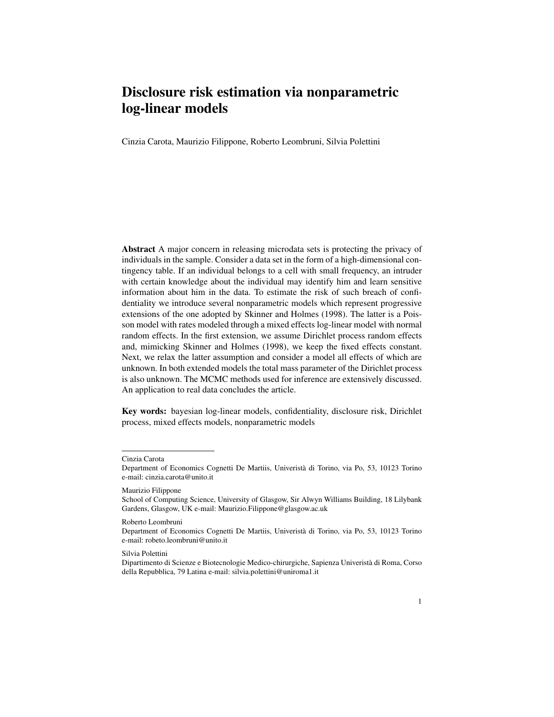# Disclosure risk estimation via nonparametric log-linear models

Cinzia Carota, Maurizio Filippone, Roberto Leombruni, Silvia Polettini

Abstract A major concern in releasing microdata sets is protecting the privacy of individuals in the sample. Consider a data set in the form of a high-dimensional contingency table. If an individual belongs to a cell with small frequency, an intruder with certain knowledge about the individual may identify him and learn sensitive information about him in the data. To estimate the risk of such breach of confidentiality we introduce several nonparametric models which represent progressive extensions of the one adopted by Skinner and Holmes (1998). The latter is a Poisson model with rates modeled through a mixed effects log-linear model with normal random effects. In the first extension, we assume Dirichlet process random effects and, mimicking Skinner and Holmes (1998), we keep the fixed effects constant. Next, we relax the latter assumption and consider a model all effects of which are unknown. In both extended models the total mass parameter of the Dirichlet process is also unknown. The MCMC methods used for inference are extensively discussed. An application to real data concludes the article.

Key words: bayesian log-linear models, confidentiality, disclosure risk, Dirichlet process, mixed effects models, nonparametric models

Cinzia Carota

Department of Economics Cognetti De Martiis, Univerista di Torino, via Po, 53, 10123 Torino ` e-mail: cinzia.carota@unito.it

Maurizio Filippone

School of Computing Science, University of Glasgow, Sir Alwyn Williams Building, 18 Lilybank Gardens, Glasgow, UK e-mail: Maurizio.Filippone@glasgow.ac.uk

Roberto Leombruni

Department of Economics Cognetti De Martiis, Univerista di Torino, via Po, 53, 10123 Torino ` e-mail: robeto.leombruni@unito.it

Silvia Polettini

Dipartimento di Scienze e Biotecnologie Medico-chirurgiche, Sapienza Univerista di Roma, Corso ` della Repubblica, 79 Latina e-mail: silvia.polettini@uniroma1.it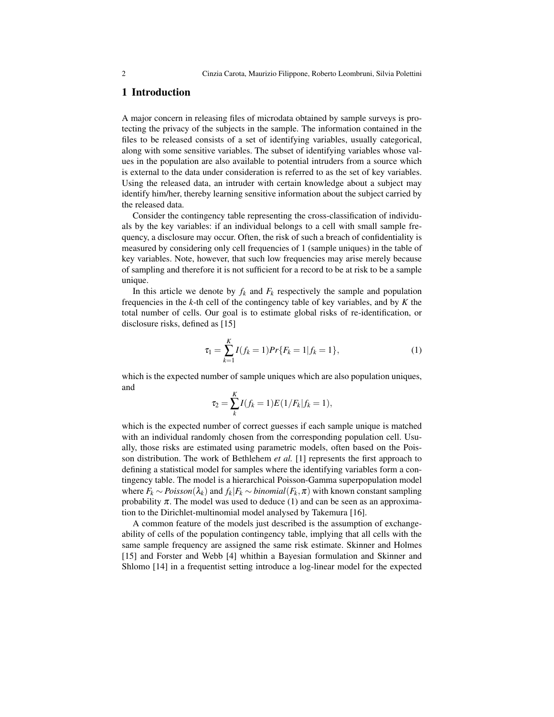## 1 Introduction

A major concern in releasing files of microdata obtained by sample surveys is protecting the privacy of the subjects in the sample. The information contained in the files to be released consists of a set of identifying variables, usually categorical, along with some sensitive variables. The subset of identifying variables whose values in the population are also available to potential intruders from a source which is external to the data under consideration is referred to as the set of key variables. Using the released data, an intruder with certain knowledge about a subject may identify him/her, thereby learning sensitive information about the subject carried by the released data.

Consider the contingency table representing the cross-classification of individuals by the key variables: if an individual belongs to a cell with small sample frequency, a disclosure may occur. Often, the risk of such a breach of confidentiality is measured by considering only cell frequencies of 1 (sample uniques) in the table of key variables. Note, however, that such low frequencies may arise merely because of sampling and therefore it is not sufficient for a record to be at risk to be a sample unique.

In this article we denote by  $f_k$  and  $F_k$  respectively the sample and population frequencies in the *k*-th cell of the contingency table of key variables, and by *K* the total number of cells. Our goal is to estimate global risks of re-identification, or disclosure risks, defined as [15]

$$
\tau_1 = \sum_{k=1}^{K} I(f_k = 1) Pr\{F_k = 1 | f_k = 1\},\tag{1}
$$

which is the expected number of sample uniques which are also population uniques, and

$$
\tau_2 = \sum_{k}^{K} I(f_k = 1) E(1/F_k | f_k = 1),
$$

which is the expected number of correct guesses if each sample unique is matched with an individual randomly chosen from the corresponding population cell. Usually, those risks are estimated using parametric models, often based on the Poisson distribution. The work of Bethlehem *et al.* [1] represents the first approach to defining a statistical model for samples where the identifying variables form a contingency table. The model is a hierarchical Poisson-Gamma superpopulation model where  $F_k \sim Poisson(\lambda_k)$  and  $f_k|F_k \sim binomial(F_k, \pi)$  with known constant sampling probability  $\pi$ . The model was used to deduce (1) and can be seen as an approximation to the Dirichlet-multinomial model analysed by Takemura [16].

A common feature of the models just described is the assumption of exchangeability of cells of the population contingency table, implying that all cells with the same sample frequency are assigned the same risk estimate. Skinner and Holmes [15] and Forster and Webb [4] whithin a Bayesian formulation and Skinner and Shlomo [14] in a frequentist setting introduce a log-linear model for the expected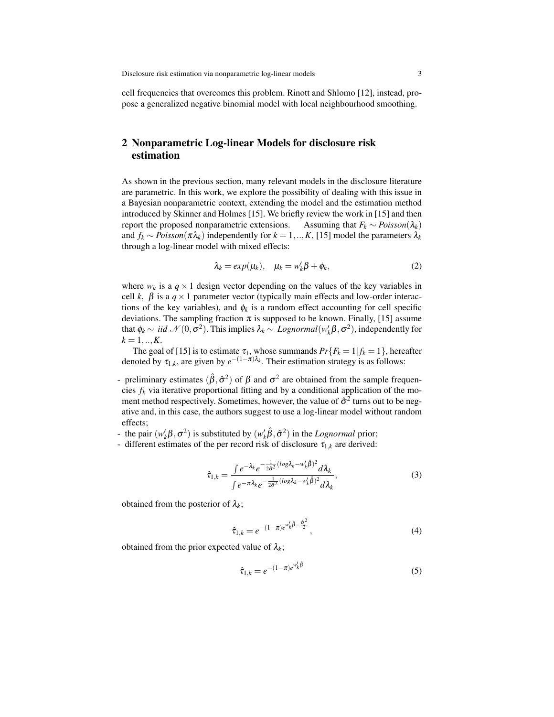cell frequencies that overcomes this problem. Rinott and Shlomo [12], instead, propose a generalized negative binomial model with local neighbourhood smoothing.

# 2 Nonparametric Log-linear Models for disclosure risk estimation

As shown in the previous section, many relevant models in the disclosure literature are parametric. In this work, we explore the possibility of dealing with this issue in a Bayesian nonparametric context, extending the model and the estimation method introduced by Skinner and Holmes [15]. We briefly review the work in [15] and then report the proposed nonparametric extensions. Assuming that  $F_k \sim Poisson(\lambda_k)$ and  $f_k \sim Poisson(\pi \lambda_k)$  independently for  $k = 1, ..., K$ , [15] model the parameters  $\lambda_k$ through a log-linear model with mixed effects:

$$
\lambda_k = exp(\mu_k), \quad \mu_k = w'_k \beta + \phi_k,
$$
\n(2)

where  $w_k$  is a  $q \times 1$  design vector depending on the values of the key variables in cell *k*,  $\beta$  is a  $q \times 1$  parameter vector (typically main effects and low-order interactions of the key variables), and  $\phi_k$  is a random effect accounting for cell specific deviations. The sampling fraction  $\pi$  is supposed to be known. Finally, [15] assume that  $\phi_k \sim \textit{iid } \mathcal{N}(0, \sigma^2)$ . This implies  $\lambda_k \sim \textit{Lognormal}(w_k' \beta, \sigma^2)$ , independently for  $k = 1, ..., K$ .

The goal of [15] is to estimate  $\tau_1$ , whose summands  $Pr{F_k = 1 | f_k = 1}$ , hereafter denoted by  $\tau_{1,k}$ , are given by  $e^{-(1-\pi)\lambda_k}$ . Their estimation strategy is as follows:

- preliminary estimates  $(\hat{\beta}, \hat{\sigma}^2)$  of  $\beta$  and  $\sigma^2$  are obtained from the sample frequencies  $f_k$  via iterative proportional fitting and by a conditional application of the moment method respectively. Sometimes, however, the value of  $\hat{\sigma}^2$  turns out to be negative and, in this case, the authors suggest to use a log-linear model without random effects;
- the pair  $(w'_k\beta, \sigma^2)$  is substituted by  $(w'_k\hat{\beta}, \hat{\sigma}^2)$  in the *Lognormal* prior;
- different estimates of the per record risk of disclosure  $\tau_{1,k}$  are derived:

$$
\hat{\tau}_{1,k} = \frac{\int e^{-\lambda_k} e^{-\frac{1}{2\hat{\sigma}^2} (\log \lambda_k - w_k'\hat{\beta})^2} d\lambda_k}{\int e^{-\pi \lambda_k} e^{-\frac{1}{2\hat{\sigma}^2} (\log \lambda_k - w_k'\hat{\beta})^2} d\lambda_k},\tag{3}
$$

obtained from the posterior of  $\lambda_k$ ;

$$
\hat{\tau}_{1,k} = e^{-(1-\pi)e^{w'_k\hat{\beta}-\frac{\hat{\sigma}^2}{2}}},\tag{4}
$$

obtained from the prior expected value of  $\lambda_k$ ;

$$
\hat{\tau}_{1,k} = e^{-(1-\pi)e^{w'_k\hat{\beta}}}
$$
 (5)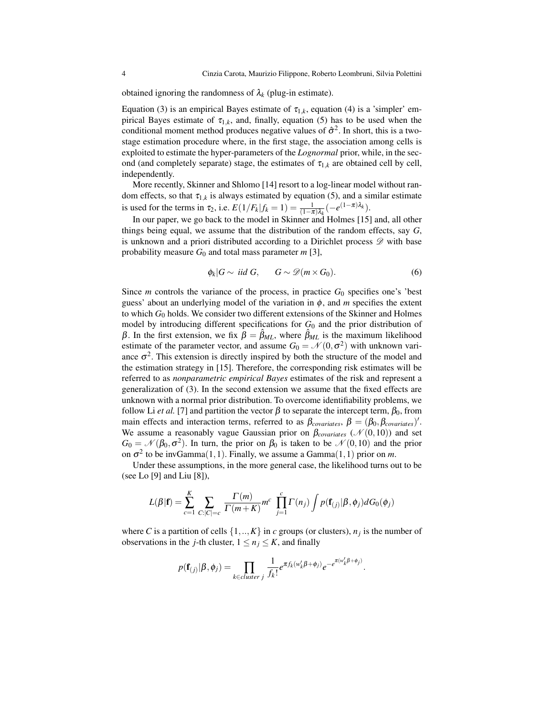obtained ignoring the randomness of  $\lambda_k$  (plug-in estimate).

Equation (3) is an empirical Bayes estimate of  $\tau_{1,k}$ , equation (4) is a 'simpler' empirical Bayes estimate of  $\tau_{1,k}$ , and, finally, equation (5) has to be used when the conditional moment method produces negative values of  $\hat{\sigma}^2$ . In short, this is a twostage estimation procedure where, in the first stage, the association among cells is exploited to estimate the hyper-parameters of the *Lognormal* prior, while, in the second (and completely separate) stage, the estimates of  $\tau_{1,k}$  are obtained cell by cell, independently.

More recently, Skinner and Shlomo [14] resort to a log-linear model without random effects, so that  $\tau_{1,k}$  is always estimated by equation (5), and a similar estimate is used for the terms in  $\tau_2$ , i.e.  $E(1/F_k|f_k = 1) = \frac{1}{(1-\pi)\lambda_k}(-e^{(1-\pi)\lambda_k})$ .

In our paper, we go back to the model in Skinner and Holmes [15] and, all other things being equal, we assume that the distribution of the random effects, say *G*, is unknown and a priori distributed according to a Dirichlet process  $\mathscr D$  with base probability measure  $G_0$  and total mass parameter  $m$  [3],

$$
\phi_k | G \sim \text{ iid } G, \qquad G \sim \mathscr{D}(m \times G_0). \tag{6}
$$

Since  $m$  controls the variance of the process, in practice  $G_0$  specifies one's 'best guess' about an underlying model of the variation in  $\phi$ , and *m* specifies the extent to which *G*<sup>0</sup> holds. We consider two different extensions of the Skinner and Holmes model by introducing different specifications for  $G_0$  and the prior distribution of β. In the first extension, we fix  $β = β<sub>ML</sub>$ , where  $β<sub>ML</sub>$  is the maximum likelihood estimate of the parameter vector, and assume  $G_0 = \mathcal{N}(0, \sigma^2)$  with unknown variance  $\sigma^2$ . This extension is directly inspired by both the structure of the model and the estimation strategy in [15]. Therefore, the corresponding risk estimates will be referred to as *nonparametric empirical Bayes* estimates of the risk and represent a generalization of (3). In the second extension we assume that the fixed effects are unknown with a normal prior distribution. To overcome identifiability problems, we follow Li *et al.* [7] and partition the vector  $\beta$  to separate the intercept term,  $\beta_0$ , from main effects and interaction terms, referred to as  $\beta_{covariates}$ ,  $\beta = (\beta_0, \beta_{covariates})'$ . We assume a reasonably vague Gaussian prior on  $\beta_{covariates}$  ( $\mathcal{N}(0,10)$ ) and set  $G_0 = \mathcal{N}(\beta_0, \sigma^2)$ . In turn, the prior on  $\beta_0$  is taken to be  $\mathcal{N}(0, 10)$  and the prior on  $\sigma^2$  to be invGamma $(1,1)$ . Finally, we assume a Gamma $(1,1)$  prior on *m*.

Under these assumptions, in the more general case, the likelihood turns out to be (see Lo [9] and Liu [8]),

$$
L(\beta|\mathbf{f}) = \sum_{c=1}^K \sum_{C:|C|=c} \frac{\Gamma(m)}{\Gamma(m+K)} m^c \prod_{j=1}^c \Gamma(n_j) \int p(\mathbf{f}_{(j)}|\beta,\phi_j) dG_0(\phi_j)
$$

where *C* is a partition of cells  $\{1,..,K\}$  in *c* groups (or clusters),  $n_j$  is the number of observations in the *j*-th cluster,  $1 \le n_j \le K$ , and finally

$$
p(\mathbf{f}_{(j)}|\boldsymbol{\beta},\phi_j) = \prod_{k \in cluster \ j} \frac{1}{f_k!} e^{\pi f_k(w'_k \beta + \phi_j)} e^{-e^{\pi(w'_k \beta + \phi_j)}}.
$$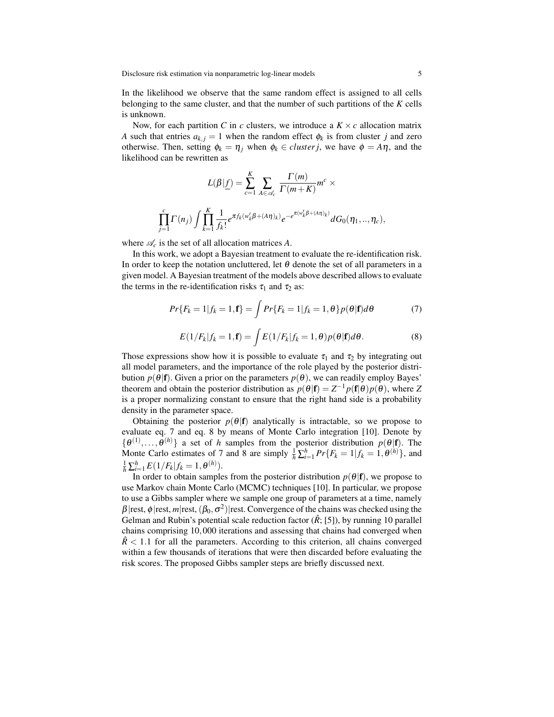In the likelihood we observe that the same random effect is assigned to all cells belonging to the same cluster, and that the number of such partitions of the *K* cells is unknown.

Now, for each partition *C* in *c* clusters, we introduce a  $K \times c$  allocation matrix *A* such that entries  $a_{k,j} = 1$  when the random effect  $\phi_k$  is from cluster *j* and zero otherwise. Then, setting  $\phi_k = \eta_i$  when  $\phi_k \in cluster j$ , we have  $\phi = A\eta$ , and the likelihood can be rewritten as

$$
L(\beta|\underline{f}) = \sum_{c=1}^{K} \sum_{A \in \mathscr{A}_c} \frac{\Gamma(m)}{\Gamma(m+K)} m^c \times \prod_{j=1}^{c} \Gamma(n_j) \int \prod_{k=1}^{K} \frac{1}{f_k!} e^{\pi f_k(w'_k \beta + (A\eta)_k)} e^{-e^{\pi(w'_k \beta + (A\eta)_k)}} dG_0(\eta_1, ..., \eta_c),
$$

where  $\mathcal{A}_c$  is the set of all allocation matrices A.

In this work, we adopt a Bayesian treatment to evaluate the re-identification risk. In order to keep the notation uncluttered, let  $\theta$  denote the set of all parameters in a given model. A Bayesian treatment of the models above described allows to evaluate the terms in the re-identification risks  $\tau_1$  and  $\tau_2$  as:

$$
Pr{F_k = 1 | f_k = 1, \mathbf{f}} = \int Pr{F_k = 1 | f_k = 1, \theta} p(\theta | \mathbf{f}) d\theta \tag{7}
$$

$$
E(1/F_k|f_k=1,\mathbf{f})=\int E(1/F_k|f_k=1,\theta)p(\theta|\mathbf{f})d\theta.
$$
\n(8)

Those expressions show how it is possible to evaluate  $\tau_1$  and  $\tau_2$  by integrating out all model parameters, and the importance of the role played by the posterior distribution  $p(\theta|\mathbf{f})$ . Given a prior on the parameters  $p(\theta)$ , we can readily employ Bayes' theorem and obtain the posterior distribution as  $p(\theta|\mathbf{f}) = Z^{-1}p(\mathbf{f}|\theta)p(\theta)$ , where Z is a proper normalizing constant to ensure that the right hand side is a probability density in the parameter space.

Obtaining the posterior  $p(\theta|\mathbf{f})$  analytically is intractable, so we propose to evaluate eq. 7 and eq. 8 by means of Monte Carlo integration [10]. Denote by  $\{\theta^{(1)},\ldots,\theta^{(h)}\}$  a set of *h* samples from the posterior distribution  $p(\theta|\mathbf{f})$ . The Monte Carlo estimates of 7 and 8 are simply  $\frac{1}{h} \sum_{i=1}^{h} Pr\{F_k = 1 | f_k = 1, \theta^{(h)}\}$ , and  $\frac{1}{h} \sum_{i=1}^{h} E(1/F_k | f_k = 1, \theta^{(h)}).$ 

In order to obtain samples from the posterior distribution  $p(\theta|\mathbf{f})$ , we propose to use Markov chain Monte Carlo (MCMC) techniques [10]. In particular, we propose to use a Gibbs sampler where we sample one group of parameters at a time, namely  $\beta$ |rest,  $\phi$ |rest, *m*|rest, ( $\beta_0$ ,  $\sigma^2$ )|rest. Convergence of the chains was checked using the Gelman and Rubin's potential scale reduction factor  $(\hat{R};[5])$ , by running 10 parallel chains comprising 10,000 iterations and assessing that chains had converged when  $\hat{R}$  < 1.1 for all the parameters. According to this criterion, all chains converged within a few thousands of iterations that were then discarded before evaluating the risk scores. The proposed Gibbs sampler steps are briefly discussed next.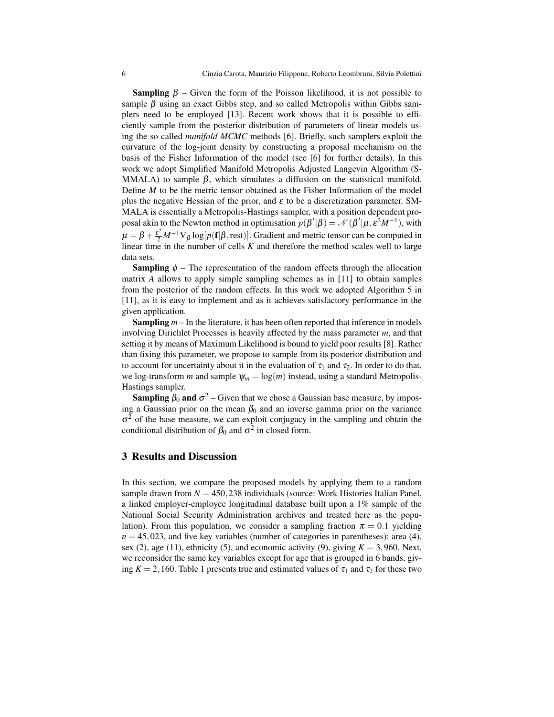**Sampling**  $β$  – Given the form of the Poisson likelihood, it is not possible to sample  $\beta$  using an exact Gibbs step, and so called Metropolis within Gibbs samplers need to be employed [13]. Recent work shows that it is possible to efficiently sample from the posterior distribution of parameters of linear models using the so called *manifold MCMC* methods [6]. Briefly, such samplers exploit the curvature of the log-joint density by constructing a proposal mechanism on the basis of the Fisher Information of the model (see [6] for further details). In this work we adopt Simplified Manifold Metropolis Adjusted Langevin Algorithm (S-MMALA) to sample  $\beta$ , which simulates a diffusion on the statistical manifold. Define *M* to be the metric tensor obtained as the Fisher Information of the model plus the negative Hessian of the prior, and  $\varepsilon$  to be a discretization parameter. SM-MALA is essentially a Metropolis-Hastings sampler, with a position dependent proposal akin to the Newton method in optimisation  $p(\beta'|\beta) = \mathcal{N}(\beta'|\mu, \varepsilon^2 M^{-1})$ , with  $\mu = \beta + \frac{\varepsilon^2}{2} M^{-1} \nabla_\beta \log[p(\mathbf{f} | \beta, \text{rest})].$  Gradient and metric tensor can be computed in linear time in the number of cells *K* and therefore the method scales well to large data sets.

**Sampling**  $\phi$  – The representation of the random effects through the allocation matrix *A* allows to apply simple sampling schemes as in [11] to obtain samples from the posterior of the random effects. In this work we adopted Algorithm 5 in [11], as it is easy to implement and as it achieves satisfactory performance in the given application.

Sampling *m* – In the literature, it has been often reported that inference in models involving Dirichlet Processes is heavily affected by the mass parameter *m*, and that setting it by means of Maximum Likelihood is bound to yield poor results [8]. Rather than fixing this parameter, we propose to sample from its posterior distribution and to account for uncertainty about it in the evaluation of  $\tau_1$  and  $\tau_2$ . In order to do that, we log-transform *m* and sample  $\psi_m = \log(m)$  instead, using a standard Metropolis-Hastings sampler.

**Sampling**  $\beta_0$  and  $\sigma^2$  – Given that we chose a Gaussian base measure, by imposing a Gaussian prior on the mean  $\beta_0$  and an inverse gamma prior on the variance  $\sigma^2$  of the base measure, we can exploit conjugacy in the sampling and obtain the conditional distribution of  $\beta_0$  and  $\sigma^2$  in closed form.

#### 3 Results and Discussion

In this section, we compare the proposed models by applying them to a random sample drawn from  $N = 450,238$  individuals (source: Work Histories Italian Panel, a linked employer-employee longitudinal database built upon a 1% sample of the National Social Security Administration archives and treated here as the population). From this population, we consider a sampling fraction  $\pi = 0.1$  yielding  $n = 45,023$ , and five key variables (number of categories in parentheses): area (4), sex (2), age (11), ethnicity (5), and economic activity (9), giving  $K = 3,960$ . Next, we reconsider the same key variables except for age that is grouped in 6 bands, giving  $K = 2,160$ . Table 1 presents true and estimated values of  $\tau_1$  and  $\tau_2$  for these two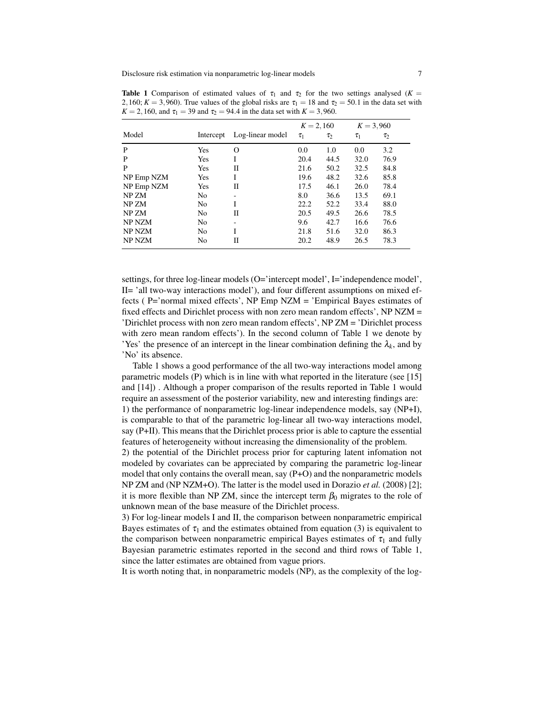**Table 1** Comparison of estimated values of  $\tau_1$  and  $\tau_2$  for the two settings analysed (*K* = 2,160;  $K = 3,960$ ). True values of the global risks are  $\tau_1 = 18$  and  $\tau_2 = 50.1$  in the data set with  $K = 2,160$ , and  $\tau_1 = 39$  and  $\tau_2 = 94.4$  in the data set with  $K = 3,960$ .

|            |                |                  | $K = 2,160$ |          | $K = 3,960$ |          |
|------------|----------------|------------------|-------------|----------|-------------|----------|
| Model      | Intercept      | Log-linear model | $\tau_1$    | $\tau_2$ | $\tau_1$    | $\tau_2$ |
| P          | Yes            | Ω                | 0.0         | 1.0      | 0.0         | 3.2      |
| P          | Yes            | I                | 20.4        | 44.5     | 32.0        | 76.9     |
| P          | <b>Yes</b>     | П                | 21.6        | 50.2     | 32.5        | 84.8     |
| NP Emp NZM | Yes            | I                | 19.6        | 48.2     | 32.6        | 85.8     |
| NP Emp NZM | Yes            | П                | 17.5        | 46.1     | 26.0        | 78.4     |
| NP ZM      | No             | ۰                | 8.0         | 36.6     | 13.5        | 69.1     |
| NP ZM      | No             | I                | 22.2        | 52.2     | 33.4        | 88.0     |
| NP ZM      | N <sub>0</sub> | П                | 20.5        | 49.5     | 26.6        | 78.5     |
| NP NZM     | No             | ۰                | 9.6         | 42.7     | 16.6        | 76.6     |
| NP NZM     | No             | I                | 21.8        | 51.6     | 32.0        | 86.3     |
| NP NZM     | No             | П                | 20.2        | 48.9     | 26.5        | 78.3     |

settings, for three log-linear models (O='intercept model', I='independence model', II= 'all two-way interactions model'), and four different assumptions on mixed effects ( $P=$ 'normal mixed effects',  $NP Emp NZM = 'Empirical Bayes$  estimates of fixed effects and Dirichlet process with non zero mean random effects', NP NZM = 'Dirichlet process with non zero mean random effects', NP ZM = 'Dirichlet process with zero mean random effects'). In the second column of Table 1 we denote by 'Yes' the presence of an intercept in the linear combination defining the  $\lambda_k$ , and by 'No' its absence.

Table 1 shows a good performance of the all two-way interactions model among parametric models (P) which is in line with what reported in the literature (see [15] and [14]) . Although a proper comparison of the results reported in Table 1 would require an assessment of the posterior variability, new and interesting findings are: 1) the performance of nonparametric log-linear independence models, say (NP+I), is comparable to that of the parametric log-linear all two-way interactions model, say (P+II). This means that the Dirichlet process prior is able to capture the essential features of heterogeneity without increasing the dimensionality of the problem.

2) the potential of the Dirichlet process prior for capturing latent infomation not modeled by covariates can be appreciated by comparing the parametric log-linear model that only contains the overall mean, say  $(P+O)$  and the nonparametric models NP ZM and (NP NZM+O). The latter is the model used in Dorazio *et al.* (2008) [2]; it is more flexible than NP ZM, since the intercept term  $\beta_0$  migrates to the role of unknown mean of the base measure of the Dirichlet process.

3) For log-linear models I and II, the comparison between nonparametric empirical Bayes estimates of  $\tau_1$  and the estimates obtained from equation (3) is equivalent to the comparison between nonparametric empirical Bayes estimates of  $\tau_1$  and fully Bayesian parametric estimates reported in the second and third rows of Table 1, since the latter estimates are obtained from vague priors.

It is worth noting that, in nonparametric models (NP), as the complexity of the log-